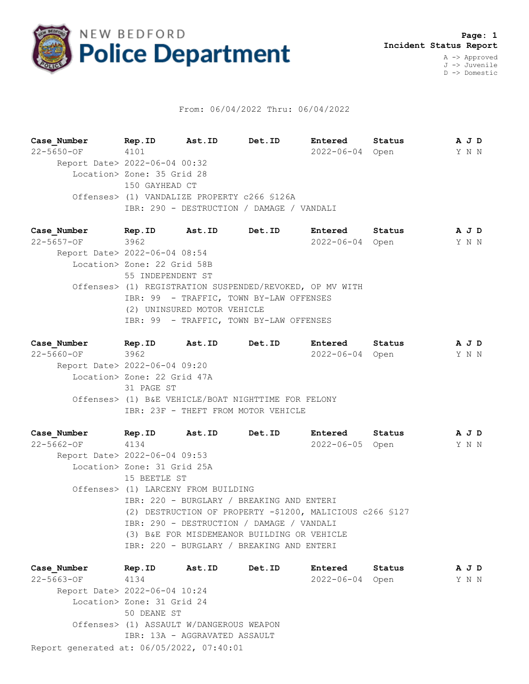

## From: 06/04/2022 Thru: 06/04/2022

**Case\_Number Rep.ID Ast.ID Det.ID Entered Status A J D** 22-5650-OF 4101 2022-06-04 Open Y N N Report Date> 2022-06-04 00:32 Location> Zone: 35 Grid 28 150 GAYHEAD CT Offenses> (1) VANDALIZE PROPERTY c266 §126A IBR: 290 - DESTRUCTION / DAMAGE / VANDALI

**Case\_Number Rep.ID Ast.ID Det.ID Entered Status A J D** 22-5657-OF 3962 2022-06-04 Open Y N N Report Date> 2022-06-04 08:54 Location> Zone: 22 Grid 58B 55 INDEPENDENT ST Offenses> (1) REGISTRATION SUSPENDED/REVOKED, OP MV WITH IBR: 99 - TRAFFIC, TOWN BY-LAW OFFENSES (2) UNINSURED MOTOR VEHICLE IBR: 99 - TRAFFIC, TOWN BY-LAW OFFENSES

**Case\_Number Rep.ID Ast.ID Det.ID Entered Status A J D** 22-5660-OF 3962 2022-06-04 Open Y N N Report Date> 2022-06-04 09:20 Location> Zone: 22 Grid 47A 31 PAGE ST Offenses> (1) B&E VEHICLE/BOAT NIGHTTIME FOR FELONY IBR: 23F - THEFT FROM MOTOR VEHICLE

**Case\_Number Rep.ID Ast.ID Det.ID Entered Status A J D** 22-5662-OF 4134 2022-06-05 Open Y N N Report Date> 2022-06-04 09:53 Location> Zone: 31 Grid 25A 15 BEETLE ST Offenses> (1) LARCENY FROM BUILDING IBR: 220 - BURGLARY / BREAKING AND ENTERI (2) DESTRUCTION OF PROPERTY -\$1200, MALICIOUS c266 §127 IBR: 290 - DESTRUCTION / DAMAGE / VANDALI (3) B&E FOR MISDEMEANOR BUILDING OR VEHICLE IBR: 220 - BURGLARY / BREAKING AND ENTERI

Report generated at: 06/05/2022, 07:40:01 **Case\_Number Rep.ID Ast.ID Det.ID Entered Status A J D** 22-5663-OF 4134 2022-06-04 Open Y N N Report Date> 2022-06-04 10:24 Location> Zone: 31 Grid 24 50 DEANE ST Offenses> (1) ASSAULT W/DANGEROUS WEAPON IBR: 13A - AGGRAVATED ASSAULT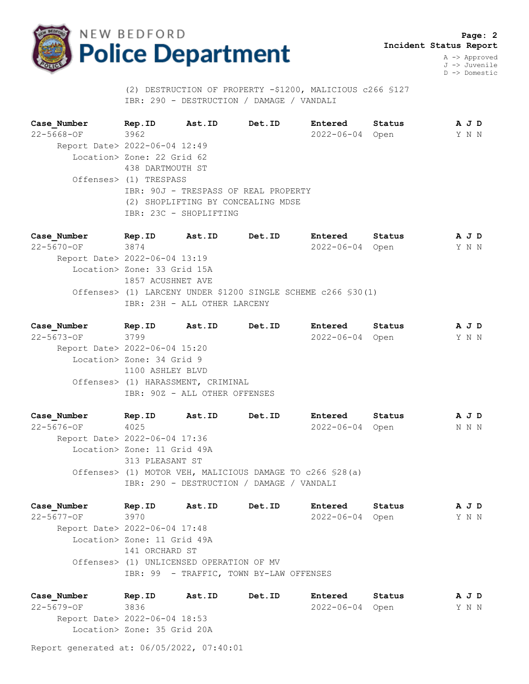

 **Page: 2 Incident Status Report**

> A -> Approved J -> Juvenile D -> Domestic

 (2) DESTRUCTION OF PROPERTY -\$1200, MALICIOUS c266 §127 IBR: 290 - DESTRUCTION / DAMAGE / VANDALI

**Case\_Number Rep.ID Ast.ID Det.ID Entered Status A J D** 22-5668-OF 3962 2022-06-04 Open Y N N Report Date> 2022-06-04 12:49 Location> Zone: 22 Grid 62 438 DARTMOUTH ST Offenses> (1) TRESPASS IBR: 90J - TRESPASS OF REAL PROPERTY (2) SHOPLIFTING BY CONCEALING MDSE IBR: 23C - SHOPLIFTING

**Case\_Number Rep.ID Ast.ID Det.ID Entered Status A J D** 22-5670-OF 3874 2022-06-04 Open Y N N Report Date> 2022-06-04 13:19 Location> Zone: 33 Grid 15A 1857 ACUSHNET AVE Offenses> (1) LARCENY UNDER \$1200 SINGLE SCHEME c266 §30(1) IBR: 23H - ALL OTHER LARCENY

**Case\_Number Rep.ID Ast.ID Det.ID Entered Status A J D** 22-5673-OF 3799 2022-06-04 Open Y N N Report Date> 2022-06-04 15:20 Location> Zone: 34 Grid 9 1100 ASHLEY BLVD Offenses> (1) HARASSMENT, CRIMINAL IBR: 90Z - ALL OTHER OFFENSES

**Case\_Number Rep.ID Ast.ID Det.ID Entered Status A J D** 22-5676-OF 4025 2022-06-04 Open N N N Report Date> 2022-06-04 17:36 Location> Zone: 11 Grid 49A 313 PLEASANT ST Offenses> (1) MOTOR VEH, MALICIOUS DAMAGE TO c266 §28(a) IBR: 290 - DESTRUCTION / DAMAGE / VANDALI

**Case\_Number Rep.ID Ast.ID Det.ID Entered Status A J D** 22-5677-OF 3970 2022-06-04 Open Y N N Report Date> 2022-06-04 17:48 Location> Zone: 11 Grid 49A 141 ORCHARD ST Offenses> (1) UNLICENSED OPERATION OF MV IBR: 99 - TRAFFIC, TOWN BY-LAW OFFENSES

**Case\_Number Rep.ID Ast.ID Det.ID Entered Status A J D** 22-5679-OF 3836 2022-06-04 Open Y N N Report Date> 2022-06-04 18:53 Location> Zone: 35 Grid 20A

Report generated at: 06/05/2022, 07:40:01